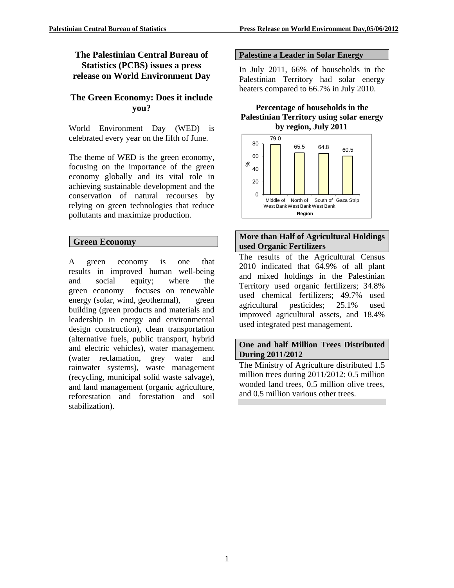# **The Palestinian Central Bureau of Statistics (PCBS) issues a press release on World Environment Day**

# **The Green Economy: Does it include you?**

World Environment Day (WED) is celebrated every year on the fifth of June.

The theme of WED is the green economy, focusing on the importance of the green economy globally and its vital role in achieving sustainable development and the conservation of natural recourses by relying on green technologies that reduce pollutants and maximize production.

# **Green Economy**

A green economy is one that results in improved human well-being and social equity; where the green economy focuses on renewable energy (solar, wind, geothermal), green building (green products and materials and leadership in energy and environmental design construction), clean transportation (alternative fuels, public transport, hybrid and electric vehicles), water management (water reclamation, grey water and rainwater systems), waste management (recycling, municipal solid waste salvage), and land management (organic agriculture, reforestation and forestation and soil stabilization).

### **Palestine a Leader in Solar Energy**

In July 2011, 66% of households in the Palestinian Territory had solar energy heaters compared to 66.7% in July 2010.

### **Percentage of households in the Palestinian Territory using solar energy by region, July 2011**



## **More than Half of Agricultural Holdings used Organic Fertilizers**

The results of the Agricultural Census 2010 indicated that 64.9% of all plant and mixed holdings in the Palestinian Territory used organic fertilizers; 34.8% used chemical fertilizers; 49.7% used agricultural pesticides; 25.1% used improved agricultural assets, and 18.4% used integrated pest management.

### **One and half Million Trees Distributed During 2011/2012**

The Ministry of Agriculture distributed 1.5 million trees during 2011/2012: 0.5 million wooded land trees, 0.5 million olive trees, and 0.5 million various other trees.